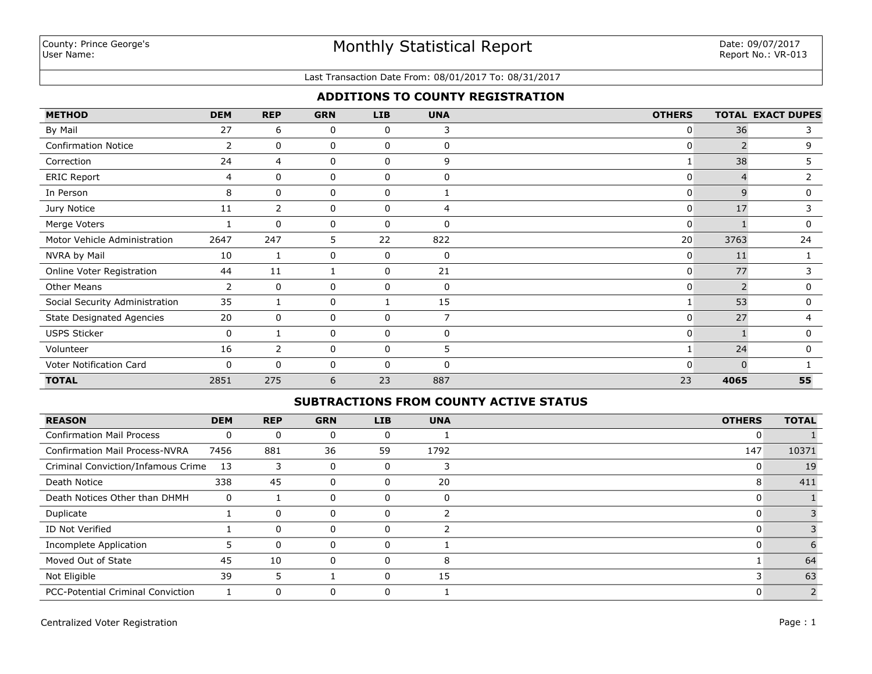#### Last Transaction Date From: 08/01/2017 To: 08/31/2017

## **ADDITIONS TO COUNTY REGISTRATION**

| <b>METHOD</b>                    | <b>DEM</b>     | <b>REP</b>     | <b>GRN</b> | LIB          | <b>UNA</b>     | <b>OTHERS</b>  |                | <b>TOTAL EXACT DUPES</b> |
|----------------------------------|----------------|----------------|------------|--------------|----------------|----------------|----------------|--------------------------|
| By Mail                          | 27             | 6              | 0          | 0            | 3              | $\overline{0}$ | 36             | 3                        |
| <b>Confirmation Notice</b>       | $\overline{2}$ | 0              | 0          | 0            | 0              | 0              | $\overline{2}$ | 9                        |
| Correction                       | 24             | 4              | 0          | 0            | 9              |                | 38             | 5.                       |
| <b>ERIC Report</b>               | 4              | 0              | 0          | 0            | 0              | 0              |                | $\overline{2}$           |
| In Person                        | 8              | $\mathbf{0}$   | 0          | $\mathbf{0}$ |                | 0              | 9              | 0                        |
| Jury Notice                      | 11             | $\overline{2}$ | 0          | $\mathbf 0$  | 4              | $\overline{0}$ | 17             | 3                        |
| Merge Voters                     |                | $\mathbf{0}$   | 0          | 0            | $\mathbf{0}$   | $\overline{0}$ |                | 0                        |
| Motor Vehicle Administration     | 2647           | 247            | 5          | 22           | 822            | 20             | 3763           | 24                       |
| NVRA by Mail                     | 10             |                | 0          | 0            | 0              | $\overline{0}$ | 11             |                          |
| Online Voter Registration        | 44             | 11             |            | 0            | 21             | $\overline{0}$ | 77             |                          |
| <b>Other Means</b>               | 2              | $\mathbf{0}$   | 0          | $\mathbf{0}$ | 0              | $\mathbf{0}$   |                | 0                        |
| Social Security Administration   | 35             |                | 0          |              | 15             |                | 53             | 0                        |
| <b>State Designated Agencies</b> | 20             | 0              | 0          | 0            | $\overline{7}$ | $\overline{0}$ | 27             | 4                        |
| <b>USPS Sticker</b>              | $\mathbf 0$    |                | 0          | 0            | 0              | $\mathbf{0}$   |                | $\mathbf 0$              |
| Volunteer                        | 16             | 2              | 0          | 0            | 5.             |                | 24             | $\mathbf 0$              |
| Voter Notification Card          | 0              | $\Omega$       | 0          | $\mathbf{0}$ | $\Omega$       | $\Omega$       | $\Omega$       |                          |
| <b>TOTAL</b>                     | 2851           | 275            | 6          | 23           | 887            | 23             | 4065           | 55                       |

#### **SUBTRACTIONS FROM COUNTY ACTIVE STATUS**

| <b>REASON</b>                            | <b>DEM</b> | <b>REP</b> | <b>GRN</b> | <b>LIB</b> | <b>UNA</b> | <b>OTHERS</b> | <b>TOTAL</b> |
|------------------------------------------|------------|------------|------------|------------|------------|---------------|--------------|
| <b>Confirmation Mail Process</b>         | 0          | $\Omega$   |            |            |            | 0             |              |
| <b>Confirmation Mail Process-NVRA</b>    | 7456       | 881        | 36         | 59         | 1792       | 147           | 10371        |
| Criminal Conviction/Infamous Crime       | 13         | 3          | 0          |            |            | 0             | 19           |
| Death Notice                             | 338        | 45         | 0          | O          | 20         | 8             | 411          |
| Death Notices Other than DHMH            | 0          |            |            |            | $\Omega$   | O             |              |
| Duplicate                                |            | $\Omega$   | 0          |            |            | 0             |              |
| ID Not Verified                          |            | $\Omega$   | 0          |            |            | 0             |              |
| Incomplete Application                   |            | $\Omega$   | 0          |            |            | 0             |              |
| Moved Out of State                       | 45         | 10         | 0          | 0          | 8          |               | 64           |
| Not Eligible                             | 39         | 5          |            | 0          | 15         |               | 63           |
| <b>PCC-Potential Criminal Conviction</b> |            | $\Omega$   |            |            |            |               | 2            |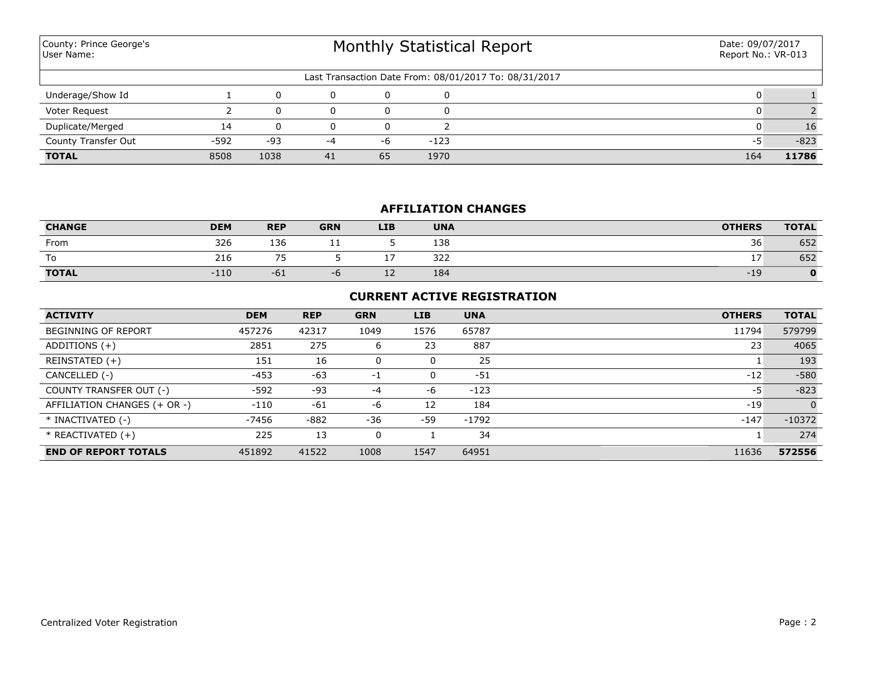| County: Prince George's<br>User Name: |        |       | Date: 09/07/2017<br>Report No.: VR-013 |    |        |                                                       |     |        |
|---------------------------------------|--------|-------|----------------------------------------|----|--------|-------------------------------------------------------|-----|--------|
|                                       |        |       |                                        |    |        | Last Transaction Date From: 08/01/2017 To: 08/31/2017 |     |        |
| Underage/Show Id                      |        |       | 0                                      |    |        |                                                       |     |        |
| Voter Request                         |        |       | 0                                      | 0  |        |                                                       |     |        |
| Duplicate/Merged                      | 14     |       | 0                                      |    |        |                                                       |     | 16     |
| County Transfer Out                   | $-592$ | $-93$ | -4                                     | -6 | $-123$ |                                                       | -5  | $-823$ |
| <b>TOTAL</b>                          | 8508   | 1038  | 41                                     | 65 | 1970   |                                                       | 164 | 11786  |

### **AFFILIATION CHANGES**

| <b>CHANGE</b> | <b>DEM</b> | <b>REP</b>                    | <b>GRN</b> | <b>LIB</b> | <b>UNA</b> | <b>OTHERS</b> | <b>TOTAL</b> |
|---------------|------------|-------------------------------|------------|------------|------------|---------------|--------------|
| From          | 326        | 136                           | <b>. .</b> |            | 138        | 36            | 652          |
| To            | 216        | $\overline{\phantom{a}}$<br>- |            | -          | 322        |               | 652          |
| <b>TOTAL</b>  | $-110$     | $-61$                         | $-0$       | <u>+ ←</u> | 184        | -19           |              |

## **CURRENT ACTIVE REGISTRATION**

| <b>ACTIVITY</b>              | <b>DEM</b> | <b>REP</b> | <b>GRN</b> | <b>LIB</b> | <b>UNA</b> | <b>OTHERS</b> | <b>TOTAL</b> |
|------------------------------|------------|------------|------------|------------|------------|---------------|--------------|
| <b>BEGINNING OF REPORT</b>   | 457276     | 42317      | 1049       | 1576       | 65787      | 11794         | 579799       |
| ADDITIONS $(+)$              | 2851       | 275        | ь          | 23         | 887        | 23            | 4065         |
| REINSTATED (+)               | 151        | 16         | 0          | 0          | 25         |               | 193          |
| CANCELLED (-)                | $-453$     | $-63$      | $-1$       | 0          | $-51$      | $-12$         | $-580$       |
| COUNTY TRANSFER OUT (-)      | $-592$     | $-93$      | -4         | -6         | $-123$     | -5            | $-823$       |
| AFFILIATION CHANGES (+ OR -) | $-110$     | $-61$      | -6         | 12         | 184        | $-19$         | $\Omega$     |
| * INACTIVATED (-)            | $-7456$    | $-882$     | -36        | -59        | -1792      | $-147$        | $-10372$     |
| $*$ REACTIVATED $(+)$        | 225        | 13         | 0          |            | 34         |               | 274          |
| <b>END OF REPORT TOTALS</b>  | 451892     | 41522      | 1008       | 1547       | 64951      | 11636         | 572556       |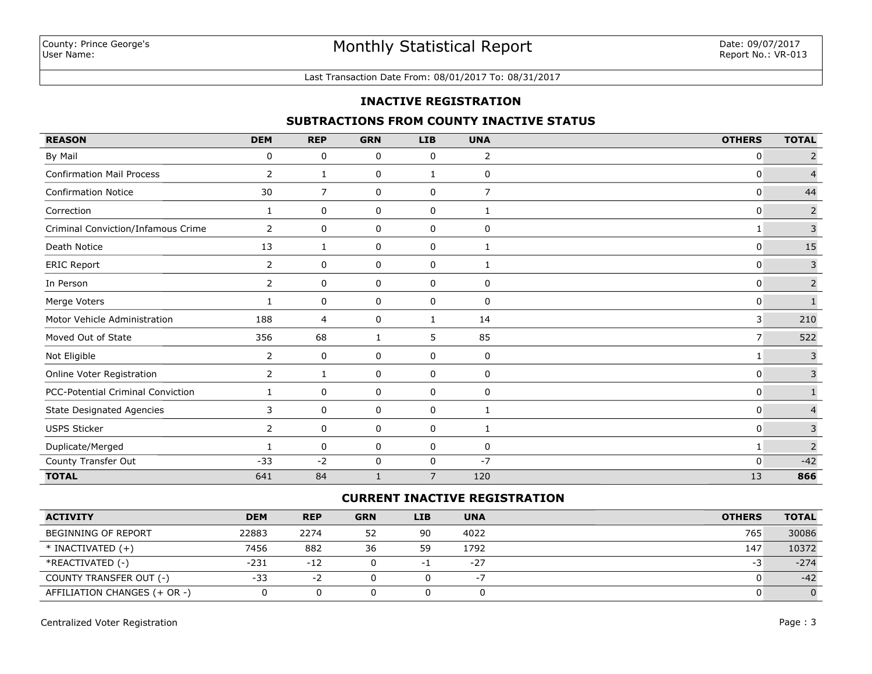#### Last Transaction Date From: 08/01/2017 To: 08/31/2017

#### **INACTIVE REGISTRATION**

#### **SUBTRACTIONS FROM COUNTY INACTIVE STATUS**

| <b>REASON</b>                      | <b>DEM</b>     | <b>REP</b>     | <b>GRN</b>   | <b>LIB</b>     | <b>UNA</b>     | <b>OTHERS</b>  | <b>TOTAL</b>   |
|------------------------------------|----------------|----------------|--------------|----------------|----------------|----------------|----------------|
| By Mail                            | 0              | 0              | 0            | 0              | $\overline{2}$ | $\mathbf 0$    | $\overline{2}$ |
| <b>Confirmation Mail Process</b>   | 2              | 1              | 0            | 1              | 0              | $\mathbf 0$    | $\overline{4}$ |
| <b>Confirmation Notice</b>         | 30             | $\overline{7}$ | 0            | 0              | $\overline{7}$ | $\mathbf{0}$   | 44             |
| Correction                         | 1              | 0              | 0            | 0              | 1              | $\mathbf 0$    | $\overline{2}$ |
| Criminal Conviction/Infamous Crime | $\overline{2}$ | 0              | 0            | 0              | 0              | 1              | $\overline{3}$ |
| Death Notice                       | 13             | 1              | 0            | 0              | 1              | $\mathbf 0$    | 15             |
| <b>ERIC Report</b>                 | $\mathbf{2}$   | 0              | 0            | 0              | 1              | $\mathbf 0$    | 3              |
| In Person                          | $\overline{2}$ | 0              | 0            | 0              | 0              | $\mathbf 0$    | $\overline{2}$ |
| Merge Voters                       |                | 0              | 0            | 0              | 0              | 0              | $\mathbf{1}$   |
| Motor Vehicle Administration       | 188            | 4              | 0            | 1              | 14             | 3              | 210            |
| Moved Out of State                 | 356            | 68             | 1            | 5              | 85             | $\overline{7}$ | 522            |
| Not Eligible                       | $\overline{2}$ | 0              | 0            | 0              | 0              |                | $\mathsf 3$    |
| Online Voter Registration          | $\overline{2}$ | 1              | 0            | 0              | 0              | $\mathbf{0}$   | $\mathsf 3$    |
| PCC-Potential Criminal Conviction  |                | 0              | 0            | 0              | 0              | $\mathbf{0}$   | $\mathbf{1}$   |
| <b>State Designated Agencies</b>   | 3              | 0              | 0            | 0              | 1              | $\mathbf{0}$   | $\overline{4}$ |
| USPS Sticker                       | $\overline{2}$ | 0              | 0            | 0              | 1              | $\mathbf{0}$   | $\mathsf{3}$   |
| Duplicate/Merged                   |                | 0              | 0            | 0              | 0              | 1              | $\overline{2}$ |
| County Transfer Out                | $-33$          | $-2$           | 0            | 0              | $-7$           | $\mathbf 0$    | $-42$          |
| <b>TOTAL</b>                       | 641            | 84             | $\mathbf{1}$ | $\overline{7}$ | 120            | 13             | 866            |

### **CURRENT INACTIVE REGISTRATION**

| <b>ACTIVITY</b>              | <b>DEM</b> | <b>REP</b> | <b>GRN</b> | LIB. | <b>UNA</b> | <b>OTHERS</b> | <b>TOTAL</b> |
|------------------------------|------------|------------|------------|------|------------|---------------|--------------|
| BEGINNING OF REPORT          | 22883      | 2274       | 52         | 90   | 4022       | 765           | 30086        |
| $*$ INACTIVATED $(+)$        | 7456       | 882        | 36         | 59   | 1792       | 147           | 10372        |
| *REACTIVATED (-)             | $-231$     | $-12$      |            | - 1  | $-27$      | -3            | $-274$       |
| COUNTY TRANSFER OUT (-)      | $-33$      | $-2$       |            |      | $-1$       |               | $-42$        |
| AFFILIATION CHANGES (+ OR -) |            |            |            |      |            |               |              |